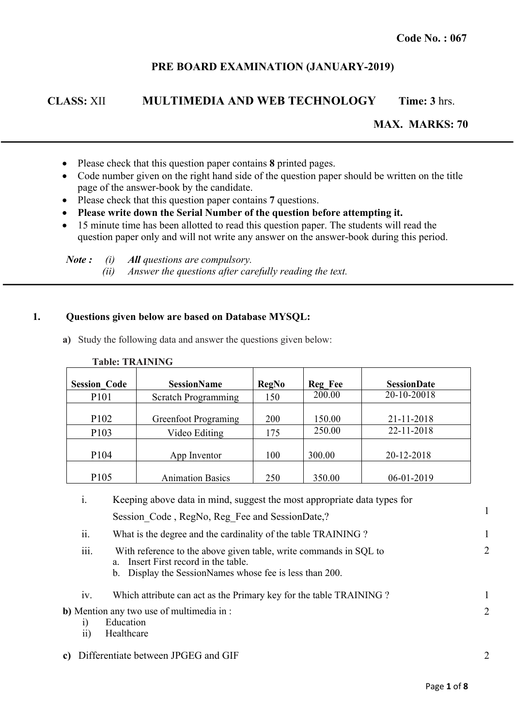## **PRE BOARD EXAMINATION (JANUARY-2019)**

# **CLASS:** XII **MULTIMEDIA AND WEB TECHNOLOGY Time: 3** hrs.

**MAX. MARKS: 70**

- Please check that this question paper contains **8** printed pages.
- Code number given on the right hand side of the question paper should be written on the title page of the answer-book by the candidate.
- Please check that this question paper contains **7** questions.
- **Please write down the Serial Number of the question before attempting it.**
- 15 minute time has been allotted to read this question paper. The students will read the question paper only and will not write any answer on the answer-book during this period.

*Note : (i) All questions are compulsory. (ii) Answer the questions after carefully reading the text.*

### **1. Questions given below are based on Database MYSQL:**

**a)** Study the following data and answer the questions given below:

| <b>Session Code</b>                  | <b>SessionName</b>                           | <b>RegNo</b> | <b>Reg Fee</b>   | <b>SessionDate</b>       |
|--------------------------------------|----------------------------------------------|--------------|------------------|--------------------------|
| P <sub>10</sub> 1                    | <b>Scratch Programming</b>                   | 150          | 200.00           | 20-10-20018              |
| P <sub>102</sub><br>P <sub>103</sub> | <b>Greenfoot Programing</b><br>Video Editing | 200<br>175   | 150.00<br>250.00 | 21-11-2018<br>22-11-2018 |
| P <sub>104</sub>                     | App Inventor                                 | 100          | 300.00           | 20-12-2018               |
| P <sub>105</sub>                     | <b>Animation Basics</b>                      | 250          | 350.00           | 06-01-2019               |

**Table: TRAINING**

| $\mathbf{1}$ .  | Keeping above data in mind, suggest the most appropriate data types for                                                                                              |                |
|-----------------|----------------------------------------------------------------------------------------------------------------------------------------------------------------------|----------------|
|                 | Session Code, RegNo, Reg Fee and SessionDate,?                                                                                                                       |                |
| ii.             | What is the degree and the cardinality of the table TRAINING?                                                                                                        |                |
| iii.            | With reference to the above given table, write commands in SQL to<br>a. Insert First record in the table.<br>b. Display the SessionNames whose fee is less than 200. | $\overline{2}$ |
| iv.             | Which attribute can act as the Primary key for the table TRAINING?                                                                                                   |                |
| $\overline{ii}$ | <b>b</b> ) Mention any two use of multimedia in :<br>Education<br>Healthcare                                                                                         | $\overline{2}$ |
|                 | c) Differentiate between JPGEG and GIF                                                                                                                               | $\overline{2}$ |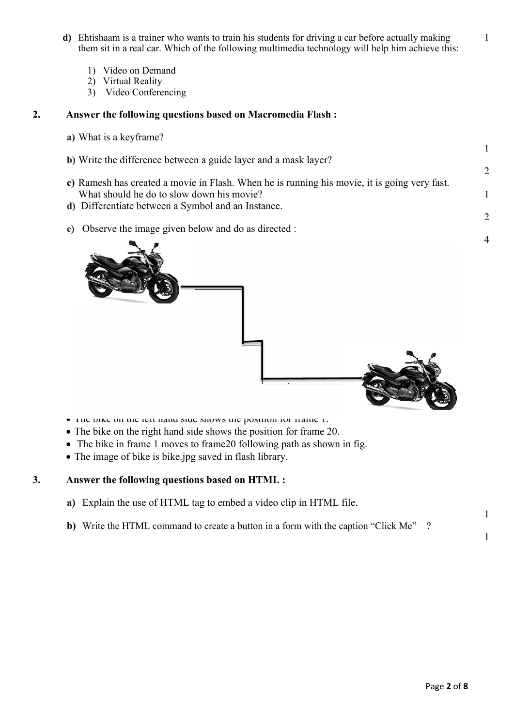- **d)** Ehtishaam is a trainer who wants to train his students for driving a car before actually making them sit in a real car. Which of the following multimedia technology will help him achieve this:
	- 1) Video on Demand
	- 2) Virtual Reality
	- 3) Video Conferencing

### **2. Answer the following questions based on Macromedia Flash :**

- **a)** What is a keyframe?
- **b)** Write the difference between a guide layer and a mask layer?
- **c)** Ramesh has created a movie in Flash. When he is running his movie, it is going very fast. What should he do to slow down his movie?
- **d)** Differentiate between a Symbol and an Instance.
- **e)** Observe the image given below and do as directed :



- The bike on the left hand side shows the position for frame 1.
- The bike on the right hand side shows the position for frame 20.
- The bike in frame 1 moves to frame 20 following path as shown in fig.
- The image of bike is bike.jpg saved in flash library.

## **3. Answer the following questions based on HTML :**

- **a)** Explain the use of HTML tag to embed a video clip in HTML file.
- **b)** Write the HTML command to create a button in a form with the caption "Click Me" ?

1

1

1

1

2

1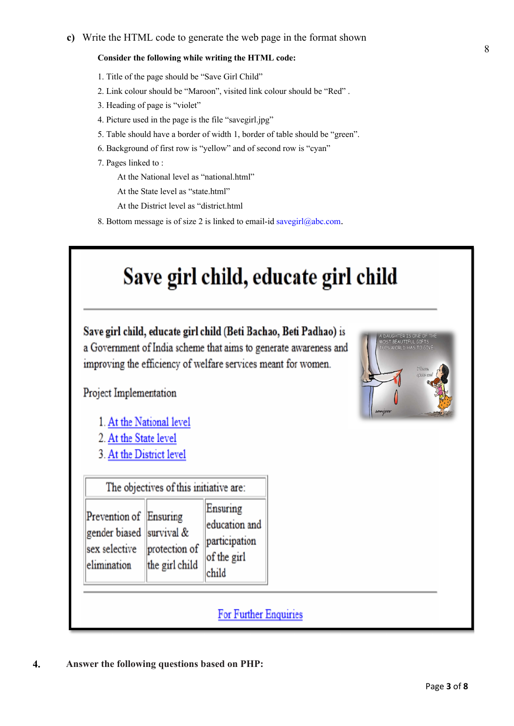#### **Consider the following while writing the HTML code:**

- 1. Title of the page should be "Save Girl Child"
- 2. Link colour should be "Maroon", visited link colour should be "Red" .
- 3. Heading of page is "violet"
- 4. Picture used in the page is the file "savegirl.jpg"
- 5. Table should have a border of width 1, border of table should be "green".
- 6. Background of first row is "yellow" and of second row is "cyan"
- 7. Pages linked to :

At the National level as "national.html"

At the State level as "state.html"

At the District level as "district.html

8. Bottom message is of size 2 is linked to email-id savegirl@abc.com.

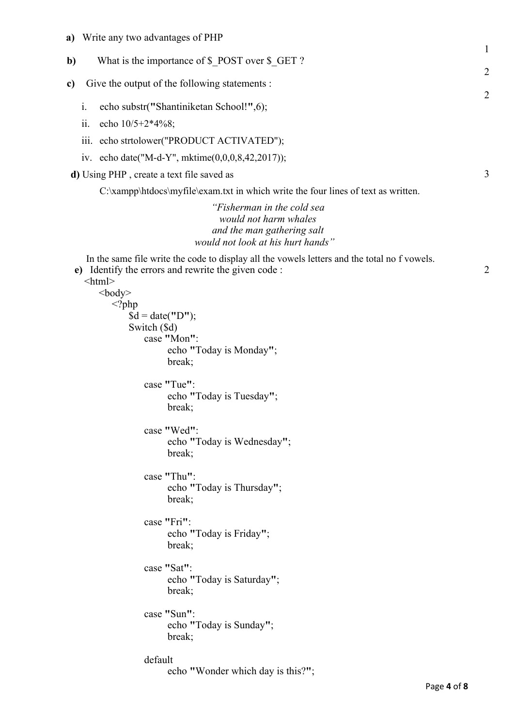- **a)** Write any two advantages of PHP
- **b**) What is the importance of \$ POST over \$ GET ?
- **c)** Give the output of the following statements :
	- i. echo substr(**"**Shantiniketan School!**"**,6);
	- ii. echo 10/5+2\*4%8;
	- iii. echo strtolower("PRODUCT ACTIVATED");
	- iv. echo date("M-d-Y", mktime(0,0,0,8,42,2017));

**d)** Using PHP , create a text file saved as

C:\xampp\htdocs\myfile\exam.txt in which write the four lines of text as written.

*"Fisherman in the cold sea would not harm whales and the man gathering salt would not look at his hurt hands"*

In the same file write the code to display all the vowels letters and the total no f vowels. **e)** Identify the errors and rewrite the given code :

#### $\text{thm}$

```

  <?php
      $d = date("D");
      Switch ($d)
         case "Mon":
               echo "Today is Monday";
               break;
         case "Tue":
               echo "Today is Tuesday";
               break;
         case "Wed":
               echo "Today is Wednesday";
               break;
         case "Thu":
               echo "Today is Thursday";
               break;
         case "Fri":
               echo "Today is Friday";
               break;
         case "Sat":
               echo "Today is Saturday";
               break;
         case "Sun":
               echo "Today is Sunday";
               break;
         default
               echo "Wonder which day is this?";
```
2

1

2

2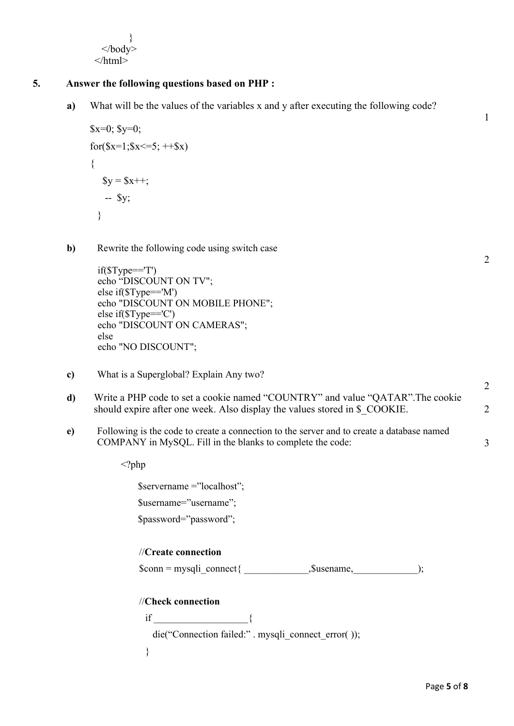}  $<$ /hody>  $<$ /html $>$ 

## **5. Answer the following questions based on PHP :**

**a)** What will be the values of the variables x and y after executing the following code?

```
x=0; y=0;
for(x=1;x \le 5; ++x)
{
  y = 2x + 1;
    -- $y;
 }
```
**b**) Rewrite the following code using switch case

```
if(SType==T')echo "DISCOUNT ON TV"; 
else if($Type=='M') 
echo "DISCOUNT ON MOBILE PHONE"; 
else if($Type=='C') 
echo "DISCOUNT ON CAMERAS"; 
else 
echo "NO DISCOUNT";
```
- **c)** What is a Superglobal? Explain Any two?
- **d)** Write a PHP code to set a cookie named "COUNTRY" and value "QATAR".The cookie should expire after one week. Also display the values stored in \$ COOKIE.
- **e)** Following is the code to create a connection to the server and to create a database named COMPANY in MySQL. Fill in the blanks to complete the code:

<?php

\$servername ="localhost"; \$username="username"; \$password="password";

//**Create connection**  $\text{Sconn} = \text{mysgli connect}\{\text{Susename},\text{S} \}$ //**Check connection** if  $\qquad \qquad \{$ 

die("Connection failed:" . mysqli\_connect\_error( ));

}

1

2

2

2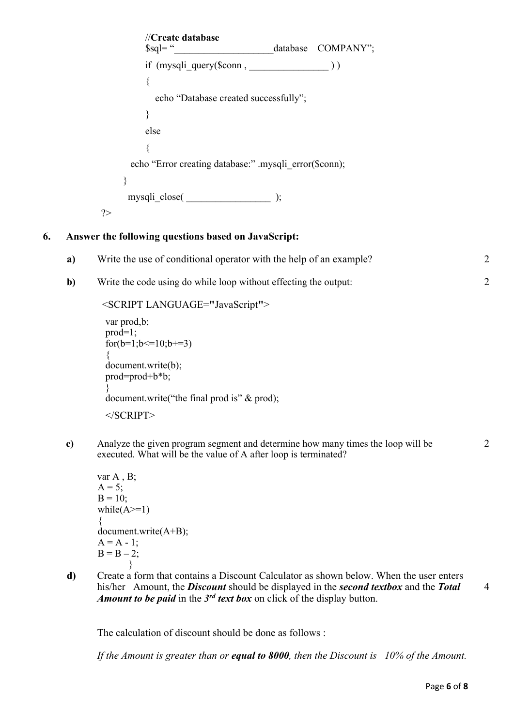//**Create database** \$sql= " database COMPANY"; if (mysqli\_query(\$conn , \_\_\_\_\_\_\_\_\_\_\_\_\_\_\_\_ ) ) { echo "Database created successfully"; } else { echo "Error creating database:" .mysqli error(\$conn); } mysqli\_close( \_\_\_\_\_\_\_\_\_\_\_\_\_\_\_\_\_ ); ?>

## **6. Answer the following questions based on JavaScript:**

| a) | Write the use of conditional operator with the help of an example? |  |
|----|--------------------------------------------------------------------|--|
|    | Write the code using do while loop without effecting the output:   |  |

```
<SCRIPT LANGUAGE="JavaScript">
```

```
var prod,b; 
prod=1; 
for(b=1; b \leq 10; b \neq -3)
{ 
document.write(b); 
prod=prod+b*b; 
} 
document.write("the final prod is" & prod); 
</SCRIPT>
```
**c)** Analyze the given program segment and determine how many times the loop will be executed. What will be the value of A after loop is terminated?

```
var A , B;
A = 5;
B = 10:
while(A>=1){ 
document.write(A+B); 
A = A - 1;
B = B - 2;
       }
```
**d)** Create a form that contains a Discount Calculator as shown below. When the user enters his/her Amount, the *Discount* should be displayed in the *second textbox* and the *Total Amount to be paid* in the *3rd text box* on click of the display button.

The calculation of discount should be done as follows :

*If the Amount is greater than or equal to 8000, then the Discount is 10% of the Amount.*

 $\mathfrak{D}$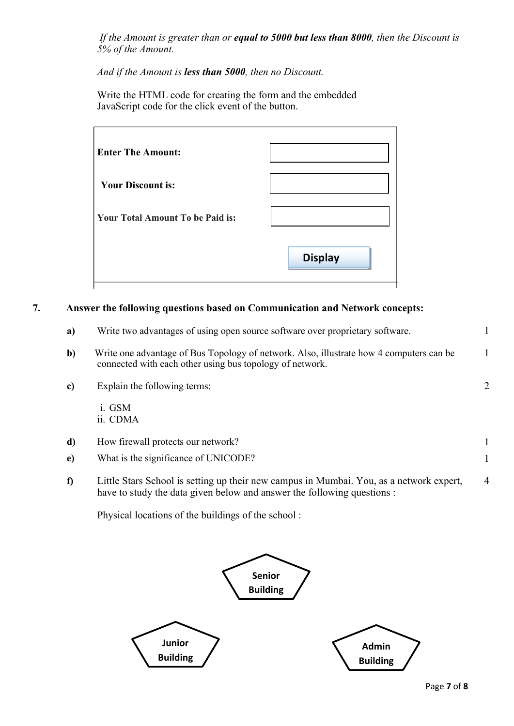*If the Amount is greater than or equal to 5000 but less than 8000, then the Discount is 5% of the Amount.*

*And if the Amount is less than 5000, then no Discount.*

Write the HTML code for creating the form and the embedded JavaScript code for the click event of the button.

| <b>Enter The Amount:</b>                |                |
|-----------------------------------------|----------------|
| <b>Your Discount is:</b>                |                |
| <b>Your Total Amount To be Paid is:</b> |                |
|                                         | <b>Display</b> |

## **7. Answer the following questions based on Communication and Network concepts:**

| a)           | Write two advantages of using open source software over proprietary software.                                                                                      |   |
|--------------|--------------------------------------------------------------------------------------------------------------------------------------------------------------------|---|
| b)           | Write one advantage of Bus Topology of network. Also, illustrate how 4 computers can be<br>connected with each other using bus topology of network.                |   |
| c)           | Explain the following terms:                                                                                                                                       | 2 |
|              | i. GSM<br>ii. CDMA                                                                                                                                                 |   |
| d)           | How firewall protects our network?                                                                                                                                 |   |
| $\mathbf{e}$ | What is the significance of UNICODE?                                                                                                                               |   |
| f)           | Little Stars School is setting up their new campus in Mumbai. You, as a network expert,<br>have to study the data given below and answer the following questions : | 4 |

Physical locations of the buildings of the school :